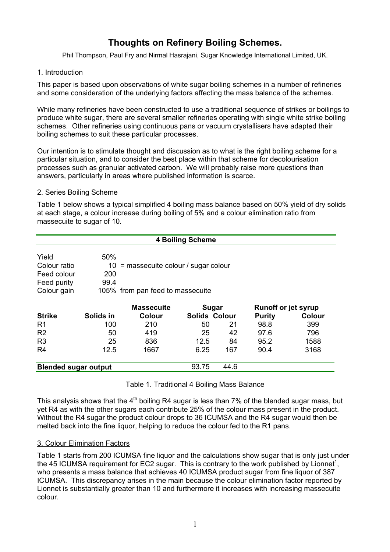# **Thoughts on Refinery Boiling Schemes.**

Phil Thompson, Paul Fry and Nirmal Hasrajani, Sugar Knowledge International Limited, UK.

## 1. Introduction

This paper is based upon observations of white sugar boiling schemes in a number of refineries and some consideration of the underlying factors affecting the mass balance of the schemes.

While many refineries have been constructed to use a traditional sequence of strikes or boilings to produce white sugar, there are several smaller refineries operating with single white strike boiling schemes. Other refineries using continuous pans or vacuum crystallisers have adapted their boiling schemes to suit these particular processes.

Our intention is to stimulate thought and discussion as to what is the right boiling scheme for a particular situation, and to consider the best place within that scheme for decolourisation processes such as granular activated carbon. We will probably raise more questions than answers, particularly in areas where published information is scarce.

## 2. Series Boiling Scheme

Table 1 below shows a typical simplified 4 boiling mass balance based on 50% yield of dry solids at each stage, a colour increase during boiling of 5% and a colour elimination ratio from massecuite to sugar of 10.

| <b>4 Boiling Scheme</b>     |           |                                  |                                      |                      |                            |               |
|-----------------------------|-----------|----------------------------------|--------------------------------------|----------------------|----------------------------|---------------|
| Yield                       | 50%       |                                  |                                      |                      |                            |               |
| Colour ratio                | 10        |                                  | $=$ massecuite colour / sugar colour |                      |                            |               |
| Feed colour                 | 200       |                                  |                                      |                      |                            |               |
| Feed purity                 | 99.4      |                                  |                                      |                      |                            |               |
| Colour gain                 |           | 105% from pan feed to massecuite |                                      |                      |                            |               |
|                             |           | <b>Massecuite</b>                |                                      | Sugar                | <b>Runoff or jet syrup</b> |               |
| <b>Strike</b>               | Solids in | Colour                           |                                      | <b>Solids Colour</b> | <b>Purity</b>              | <b>Colour</b> |
| R1                          | 100       | 210                              | 50                                   | 21                   | 98.8                       | 399           |
| R <sub>2</sub>              | 50        | 419                              | 25                                   | 42                   | 97.6                       | 796           |
| R <sub>3</sub>              | 25        | 836                              | 12.5                                 | 84                   | 95.2                       | 1588          |
| R4                          | 12.5      | 1667                             | 6.25                                 | 167                  | 90.4                       | 3168          |
| <b>Blended sugar output</b> |           |                                  | 93.75                                | 44.6                 |                            |               |

## Table 1. Traditional 4 Boiling Mass Balance

This analysis shows that the  $4<sup>th</sup>$  boiling R4 sugar is less than 7% of the blended sugar mass, but yet R4 as with the other sugars each contribute 25% of the colour mass present in the product. Without the R4 sugar the product colour drops to 36 ICUMSA and the R4 sugar would then be melted back into the fine liquor, helping to reduce the colour fed to the R1 pans.

## 3. Colour Elimination Factors

Table 1 starts from 200 ICUMSA fine liquor and the calculations show sugar that is only just under the 45 ICUMSA requirement for EC2 sugar. This is contrary to the work published by Lionnet<sup>1</sup>, who presents a mass balance that achieves 40 ICUMSA product sugar from fine liquor of 387 ICUMSA. This discrepancy arises in the main because the colour elimination factor reported by Lionnet is substantially greater than 10 and furthermore it increases with increasing massecuite colour.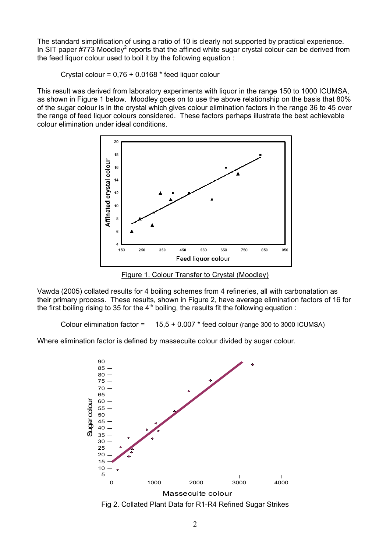The standard simplification of using a ratio of 10 is clearly not supported by practical experience. In SIT paper #773 Moodley<sup>2</sup> reports that the affined white sugar crystal colour can be derived from the feed liquor colour used to boil it by the following equation :

Crystal colour =  $0.76 + 0.0168$  \* feed liquor colour

This result was derived from laboratory experiments with liquor in the range 150 to 1000 ICUMSA, as shown in Figure 1 below. Moodley goes on to use the above relationship on the basis that 80% of the sugar colour is in the crystal which gives colour elimination factors in the range 36 to 45 over the range of feed liquor colours considered. These factors perhaps illustrate the best achievable colour elimination under ideal conditions.



Figure 1. Colour Transfer to Crystal (Moodley)

Vawda (2005) collated results for 4 boiling schemes from 4 refineries, all with carbonatation as their primary process. These results, shown in Figure 2, have average elimination factors of 16 for the first boiling rising to 35 for the  $4<sup>th</sup>$  boiling, the results fit the following equation :

Colour elimination factor =  $15.5 + 0.007$  \* feed colour (range 300 to 3000 ICUMSA)

Where elimination factor is defined by massecuite colour divided by sugar colour.

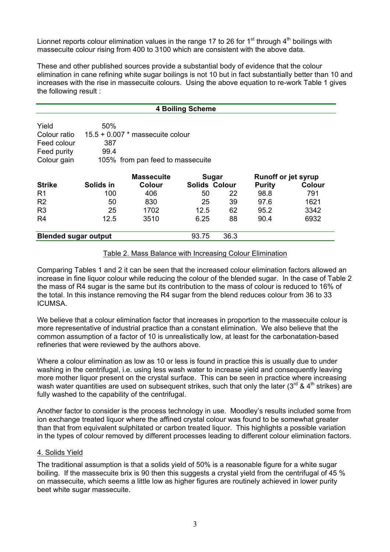Lionnet reports colour elimination values in the range 17 to 26 for 1<sup>st</sup> through  $4<sup>th</sup>$  boilings with massecuite colour rising from 400 to 3100 which are consistent with the above data.

These and other published sources provide a substantial body of evidence that the colour elimination in cane refining white sugar boilings is not 10 but in fact substantially better than 10 and increases with the rise in massecuite colours. Using the above equation to re-work Table 1 gives the following result :

| <b>4 Boiling Scheme</b>     |                                  |                                    |                      |      |                            |        |
|-----------------------------|----------------------------------|------------------------------------|----------------------|------|----------------------------|--------|
|                             |                                  |                                    |                      |      |                            |        |
| Yield                       | 50%                              |                                    |                      |      |                            |        |
| Colour ratio                |                                  | $15.5 + 0.007$ * massecuite colour |                      |      |                            |        |
| Feed colour                 | 387                              |                                    |                      |      |                            |        |
| Feed purity                 | 99.4                             |                                    |                      |      |                            |        |
| Colour gain                 | 105% from pan feed to massecuite |                                    |                      |      |                            |        |
|                             |                                  |                                    |                      |      |                            |        |
|                             |                                  | <b>Massecuite</b>                  | <b>Sugar</b>         |      | <b>Runoff or jet syrup</b> |        |
| <b>Strike</b>               | Solids in                        | <b>Colour</b>                      | <b>Solids Colour</b> |      | <b>Purity</b>              | Colour |
| R <sub>1</sub>              | 100                              | 406                                | 50                   | 22   | 98.8                       | 791    |
| R <sub>2</sub>              | 50                               | 830                                | 25                   | 39   | 97.6                       | 1621   |
| R <sub>3</sub>              | 25                               | 1702                               | 12.5                 | 62   | 95.2                       | 3342   |
| R <sub>4</sub>              | 12.5                             | 3510                               | 6.25                 | 88   | 90.4                       | 6932   |
| <b>Blended sugar output</b> |                                  |                                    | 93.75                | 36.3 |                            |        |

#### Table 2. Mass Balance with Increasing Colour Elimination

Comparing Tables 1 and 2 it can be seen that the increased colour elimination factors allowed an increase in fine liquor colour while reducing the colour of the blended sugar. In the case of Table 2 the mass of R4 sugar is the same but its contribution to the mass of colour is reduced to 16% of the total. In this instance removing the R4 sugar from the blend reduces colour from 36 to 33 ICUMSA.

We believe that a colour elimination factor that increases in proportion to the massecuite colour is more representative of industrial practice than a constant elimination. We also believe that the common assumption of a factor of 10 is unrealistically low, at least for the carbonatation-based refineries that were reviewed by the authors above.

Where a colour elimination as low as 10 or less is found in practice this is usually due to under washing in the centrifugal, i.e. using less wash water to increase yield and consequently leaving more mother liquor present on the crystal surface. This can be seen in practice where increasing wash water quantities are used on subsequent strikes, such that only the later (3<sup>rd</sup> & 4<sup>th</sup> strikes) are fully washed to the capability of the centrifugal.

Another factor to consider is the process technology in use. Moodley's results included some from ion exchange treated liquor where the affined crystal colour was found to be somewhat greater than that from equivalent sulphitated or carbon treated liquor. This highlights a possible variation in the types of colour removed by different processes leading to different colour elimination factors.

#### 4. Solids Yield

The traditional assumption is that a solids yield of 50% is a reasonable figure for a white sugar boiling. If the massecuite brix is 90 then this suggests a crystal yield from the centrifugal of 45 % on massecuite, which seems a little low as higher figures are routinely achieved in lower purity beet white sugar massecuite.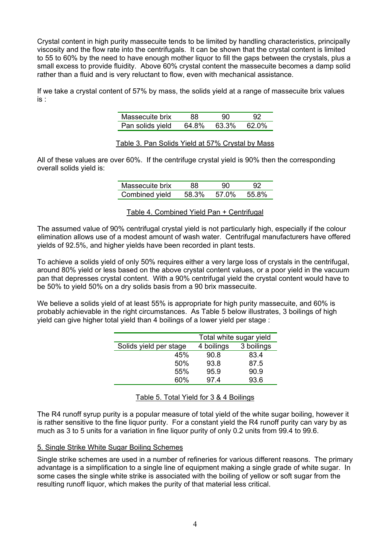Crystal content in high purity massecuite tends to be limited by handling characteristics, principally viscosity and the flow rate into the centrifugals. It can be shown that the crystal content is limited to 55 to 60% by the need to have enough mother liquor to fill the gaps between the crystals, plus a small excess to provide fluidity. Above 60% crystal content the massecuite becomes a damp solid rather than a fluid and is very reluctant to flow, even with mechanical assistance.

If we take a crystal content of 57% by mass, the solids yield at a range of massecuite brix values is :

| Massecuite brix  | 88.   | 90    |        |
|------------------|-------|-------|--------|
| Pan solids yield | 64.8% | 63.3% | .62 በ% |

Table 3. Pan Solids Yield at 57% Crystal by Mass

All of these values are over 60%. If the centrifuge crystal yield is 90% then the corresponding overall solids yield is:

| Massecuite brix | 88.   | 90    | 92    |
|-----------------|-------|-------|-------|
| Combined yield  | 58.3% | 57.0% | 55.8% |

Table 4. Combined Yield Pan + Centrifugal

The assumed value of 90% centrifugal crystal yield is not particularly high, especially if the colour elimination allows use of a modest amount of wash water. Centrifugal manufacturers have offered yields of 92.5%, and higher yields have been recorded in plant tests.

To achieve a solids yield of only 50% requires either a very large loss of crystals in the centrifugal, around 80% yield or less based on the above crystal content values, or a poor yield in the vacuum pan that depresses crystal content. With a 90% centrifugal yield the crystal content would have to be 50% to yield 50% on a dry solids basis from a 90 brix massecuite.

We believe a solids yield of at least 55% is appropriate for high purity massecuite, and 60% is probably achievable in the right circumstances. As Table 5 below illustrates, 3 boilings of high yield can give higher total yield than 4 boilings of a lower yield per stage :

|                        | Total white sugar yield |            |  |
|------------------------|-------------------------|------------|--|
| Solids yield per stage | 4 boilings              | 3 boilings |  |
| 45%                    | 90.8                    | 83.4       |  |
| 50%                    | 93.8                    | 87.5       |  |
| 55%                    | 95.9                    | 90.9       |  |
| 60%                    | 974                     | 93.6       |  |

Table 5. Total Yield for 3 & 4 Boilings

The R4 runoff syrup purity is a popular measure of total yield of the white sugar boiling, however it is rather sensitive to the fine liquor purity. For a constant yield the R4 runoff purity can vary by as much as 3 to 5 units for a variation in fine liquor purity of only 0.2 units from 99.4 to 99.6.

## 5. Single Strike White Sugar Boiling Schemes

Single strike schemes are used in a number of refineries for various different reasons. The primary advantage is a simplification to a single line of equipment making a single grade of white sugar. In some cases the single white strike is associated with the boiling of yellow or soft sugar from the resulting runoff liquor, which makes the purity of that material less critical.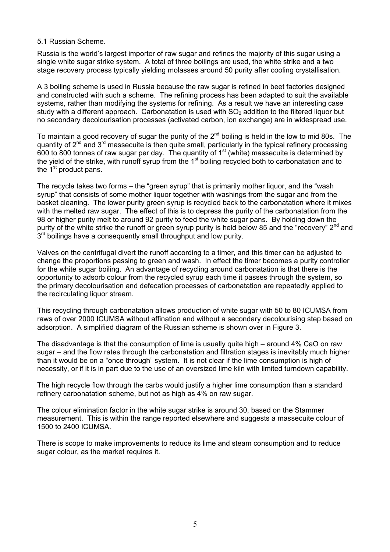#### 5.1 Russian Scheme.

Russia is the world's largest importer of raw sugar and refines the majority of this sugar using a single white sugar strike system. A total of three boilings are used, the white strike and a two stage recovery process typically yielding molasses around 50 purity after cooling crystallisation.

A 3 boiling scheme is used in Russia because the raw sugar is refined in beet factories designed and constructed with such a scheme. The refining process has been adapted to suit the available systems, rather than modifying the systems for refining. As a result we have an interesting case study with a different approach. Carbonatation is used with  $SO<sub>2</sub>$  addition to the filtered liquor but no secondary decolourisation processes (activated carbon, ion exchange) are in widespread use.

To maintain a good recovery of sugar the purity of the  $2^{nd}$  boiling is held in the low to mid 80s. The quantity of  $2<sup>nd</sup>$  and  $3<sup>rd</sup>$  massecuite is then quite small, particularly in the typical refinery processing 600 to 800 tonnes of raw sugar per day. The quantity of  $1<sup>st</sup>$  (white) massecuite is determined by the yield of the strike, with runoff syrup from the 1<sup>st</sup> boiling recycled both to carbonatation and to the  $1<sup>st</sup>$  product pans.

The recycle takes two forms – the "green syrup" that is primarily mother liquor, and the "wash syrup" that consists of some mother liquor together with washings from the sugar and from the basket cleaning. The lower purity green syrup is recycled back to the carbonatation where it mixes with the melted raw sugar. The effect of this is to depress the purity of the carbonatation from the 98 or higher purity melt to around 92 purity to feed the white sugar pans. By holding down the purity of the white strike the runoff or green syrup purity is held below 85 and the "recovery" 2<sup>nd</sup> and  $3<sup>rd</sup>$  boilings have a consequently small throughput and low purity.

Valves on the centrifugal divert the runoff according to a timer, and this timer can be adjusted to change the proportions passing to green and wash. In effect the timer becomes a purity controller for the white sugar boiling. An advantage of recycling around carbonatation is that there is the opportunity to adsorb colour from the recycled syrup each time it passes through the system, so the primary decolourisation and defecation processes of carbonatation are repeatedly applied to the recirculating liquor stream.

This recycling through carbonatation allows production of white sugar with 50 to 80 ICUMSA from raws of over 2000 ICUMSA without affination and without a secondary decolourising step based on adsorption. A simplified diagram of the Russian scheme is shown over in Figure 3.

The disadvantage is that the consumption of lime is usually quite high – around 4% CaO on raw sugar – and the flow rates through the carbonatation and filtration stages is inevitably much higher than it would be on a "once through" system. It is not clear if the lime consumption is high of necessity, or if it is in part due to the use of an oversized lime kiln with limited turndown capability.

The high recycle flow through the carbs would justify a higher lime consumption than a standard refinery carbonatation scheme, but not as high as 4% on raw sugar.

The colour elimination factor in the white sugar strike is around 30, based on the Stammer measurement. This is within the range reported elsewhere and suggests a massecuite colour of 1500 to 2400 ICUMSA.

There is scope to make improvements to reduce its lime and steam consumption and to reduce sugar colour, as the market requires it.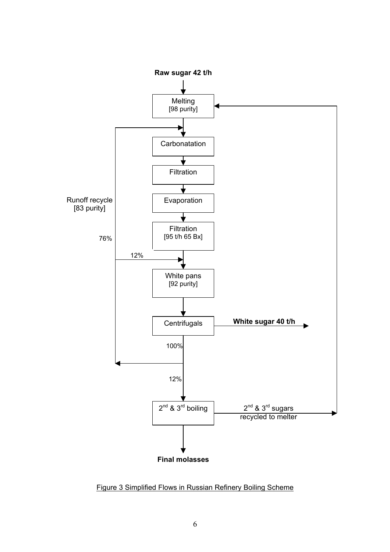

Figure 3 Simplified Flows in Russian Refinery Boiling Scheme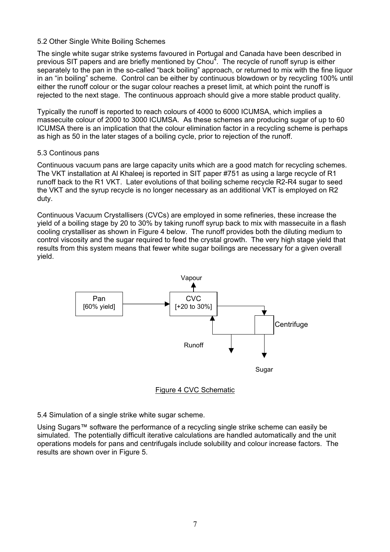#### 5.2 Other Single White Boiling Schemes

The single white sugar strike systems favoured in Portugal and Canada have been described in previous SIT papers and are briefly mentioned by Chou<sup>4</sup>. The recycle of runoff syrup is either separately to the pan in the so-called "back boiling" approach, or returned to mix with the fine liquor in an "in boiling" scheme. Control can be either by continuous blowdown or by recycling 100% until either the runoff colour or the sugar colour reaches a preset limit, at which point the runoff is rejected to the next stage. The continuous approach should give a more stable product quality.

Typically the runoff is reported to reach colours of 4000 to 6000 ICUMSA, which implies a massecuite colour of 2000 to 3000 ICUMSA. As these schemes are producing sugar of up to 60 ICUMSA there is an implication that the colour elimination factor in a recycling scheme is perhaps as high as 50 in the later stages of a boiling cycle, prior to rejection of the runoff.

## 5.3 Continous pans

Continuous vacuum pans are large capacity units which are a good match for recycling schemes. The VKT installation at Al Khaleej is reported in SIT paper #751 as using a large recycle of R1 runoff back to the R1 VKT. Later evolutions of that boiling scheme recycle R2-R4 sugar to seed the VKT and the syrup recycle is no longer necessary as an additional VKT is employed on R2 duty.

Continuous Vacuum Crystallisers (CVCs) are employed in some refineries, these increase the yield of a boiling stage by 20 to 30% by taking runoff syrup back to mix with massecuite in a flash cooling crystalliser as shown in Figure 4 below. The runoff provides both the diluting medium to control viscosity and the sugar required to feed the crystal growth. The very high stage yield that results from this system means that fewer white sugar boilings are necessary for a given overall yield.





5.4 Simulation of a single strike white sugar scheme.

Using Sugars™ software the performance of a recycling single strike scheme can easily be simulated. The potentially difficult iterative calculations are handled automatically and the unit operations models for pans and centrifugals include solubility and colour increase factors. The results are shown over in Figure 5.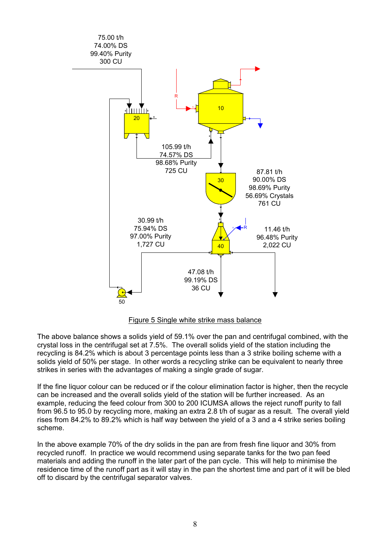



The above balance shows a solids yield of 59.1% over the pan and centrifugal combined, with the crystal loss in the centrifugal set at 7.5%. The overall solids yield of the station including the recycling is 84.2% which is about 3 percentage points less than a 3 strike boiling scheme with a solids yield of 50% per stage. In other words a recycling strike can be equivalent to nearly three strikes in series with the advantages of making a single grade of sugar.

If the fine liquor colour can be reduced or if the colour elimination factor is higher, then the recycle can be increased and the overall solids yield of the station will be further increased. As an example, reducing the feed colour from 300 to 200 ICUMSA allows the reject runoff purity to fall from 96.5 to 95.0 by recycling more, making an extra 2.8 t/h of sugar as a result. The overall yield rises from 84.2% to 89.2% which is half way between the yield of a 3 and a 4 strike series boiling scheme.

In the above example 70% of the dry solids in the pan are from fresh fine liquor and 30% from recycled runoff. In practice we would recommend using separate tanks for the two pan feed materials and adding the runoff in the later part of the pan cycle. This will help to minimise the residence time of the runoff part as it will stay in the pan the shortest time and part of it will be bled off to discard by the centrifugal separator valves.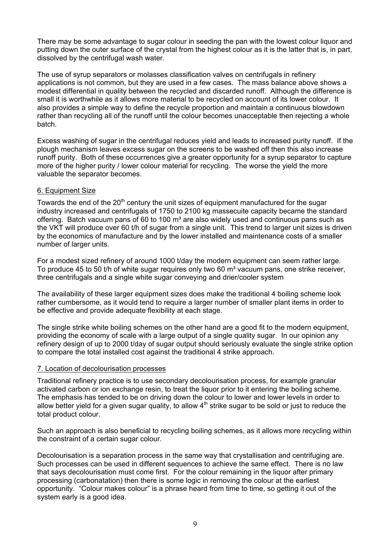There may be some advantage to sugar colour in seeding the pan with the lowest colour liquor and putting down the outer surface of the crystal from the highest colour as it is the latter that is, in part, dissolved by the centrifugal wash water.

The use of syrup separators or molasses classification valves on centrifugals in refinery applications is not common, but they are used in a few cases. The mass balance above shows a modest differential in quality between the recycled and discarded runoff. Although the difference is small it is worthwhile as it allows more material to be recycled on account of its lower colour. It also provides a simple way to define the recycle proportion and maintain a continuous blowdown rather than recycling all of the runoff until the colour becomes unacceptable then rejecting a whole batch.

Excess washing of sugar in the centrifugal reduces yield and leads to increased purity runoff. If the plough mechanism leaves excess sugar on the screens to be washed off then this also increase runoff purity. Both of these occurrences give a greater opportunity for a syrup separator to capture more of the higher purity / lower colour material for recycling. The worse the yield the more valuable the separator becomes.

## 6. Equipment Size

Towards the end of the  $20<sup>th</sup>$  century the unit sizes of equipment manufactured for the sugar industry increased and centrifugals of 1750 to 2100 kg massecuite capacity became the standard offering. Batch vacuum pans of 60 to 100  $m<sup>3</sup>$  are also widely used and continuous pans such as the VKT will produce over 60 t/h of sugar from a single unit. This trend to larger unit sizes is driven by the economics of manufacture and by the lower installed and maintenance costs of a smaller number of larger units.

For a modest sized refinery of around 1000 t/day the modern equipment can seem rather large. To produce 45 to 50 t/h of white sugar requires only two 60 m<sup>3</sup> vacuum pans, one strike receiver, three centrifugals and a single white sugar conveying and drier/cooler system

The availability of these larger equipment sizes does make the traditional 4 boiling scheme look rather cumbersome, as it would tend to require a larger number of smaller plant items in order to be effective and provide adequate flexibility at each stage.

The single strike white boiling schemes on the other hand are a good fit to the modern equipment, providing the economy of scale with a large output of a single quality sugar. In our opinion any refinery design of up to 2000 t/day of sugar output should seriously evaluate the single strike option to compare the total installed cost against the traditional 4 strike approach.

## 7. Location of decolourisation processes

Traditional refinery practice is to use secondary decolourisation process, for example granular activated carbon or ion exchange resin, to treat the liquor prior to it entering the boiling scheme. The emphasis has tended to be on driving down the colour to lower and lower levels in order to allow better yield for a given sugar quality, to allow  $4<sup>th</sup>$  strike sugar to be sold or just to reduce the total product colour.

Such an approach is also beneficial to recycling boiling schemes, as it allows more recycling within the constraint of a certain sugar colour.

Decolourisation is a separation process in the same way that crystallisation and centrifuging are. Such processes can be used in different sequences to achieve the same effect. There is no law that says decolourisation must come first. For the colour remaining in the liquor after primary processing (carbonatation) then there is some logic in removing the colour at the earliest opportunity. "Colour makes colour" is a phrase heard from time to time, so getting it out of the system early is a good idea.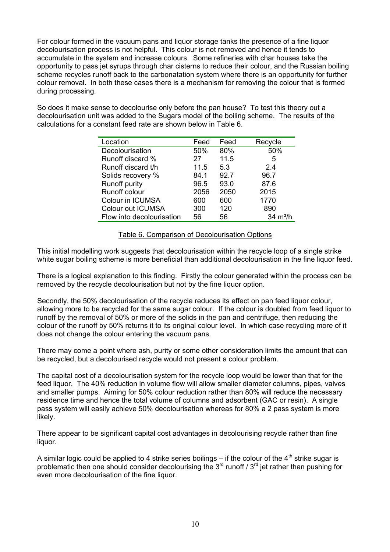For colour formed in the vacuum pans and liquor storage tanks the presence of a fine liquor decolourisation process is not helpful. This colour is not removed and hence it tends to accumulate in the system and increase colours. Some refineries with char houses take the opportunity to pass jet syrups through char cisterns to reduce their colour, and the Russian boiling scheme recycles runoff back to the carbonatation system where there is an opportunity for further colour removal. In both these cases there is a mechanism for removing the colour that is formed during processing.

So does it make sense to decolourise only before the pan house? To test this theory out a decolourisation unit was added to the Sugars model of the boiling scheme. The results of the calculations for a constant feed rate are shown below in Table 6.

| Feed | Feed | Recycle            |
|------|------|--------------------|
| 50%  | 80%  | 50%                |
| 27   | 11.5 | 5                  |
| 11.5 | 5.3  | 24                 |
| 84.1 | 92.7 | 96.7               |
| 96.5 | 93.0 | 87.6               |
| 2056 | 2050 | 2015               |
| 600  | 600  | 1770               |
| 300  | 120  | 890                |
| 56   | 56   | $34 \text{ m}^3/h$ |
|      |      |                    |

## Table 6. Comparison of Decolourisation Options

This initial modelling work suggests that decolourisation within the recycle loop of a single strike white sugar boiling scheme is more beneficial than additional decolourisation in the fine liquor feed.

There is a logical explanation to this finding. Firstly the colour generated within the process can be removed by the recycle decolourisation but not by the fine liquor option.

Secondly, the 50% decolourisation of the recycle reduces its effect on pan feed liquor colour, allowing more to be recycled for the same sugar colour. If the colour is doubled from feed liquor to runoff by the removal of 50% or more of the solids in the pan and centrifuge, then reducing the colour of the runoff by 50% returns it to its original colour level. In which case recycling more of it does not change the colour entering the vacuum pans.

There may come a point where ash, purity or some other consideration limits the amount that can be recycled, but a decolourised recycle would not present a colour problem.

The capital cost of a decolourisation system for the recycle loop would be lower than that for the feed liquor. The 40% reduction in volume flow will allow smaller diameter columns, pipes, valves and smaller pumps. Aiming for 50% colour reduction rather than 80% will reduce the necessary residence time and hence the total volume of columns and adsorbent (GAC or resin). A single pass system will easily achieve 50% decolourisation whereas for 80% a 2 pass system is more likely.

There appear to be significant capital cost advantages in decolourising recycle rather than fine liquor.

A similar logic could be applied to 4 strike series boilings – if the colour of the  $4<sup>th</sup>$  strike sugar is problematic then one should consider decolourising the  $3<sup>rd</sup>$  runoff /  $3<sup>rd</sup>$  jet rather than pushing for even more decolourisation of the fine liquor.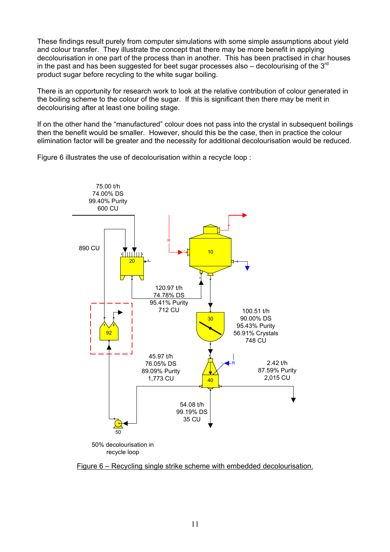These findings result purely from computer simulations with some simple assumptions about yield and colour transfer. They illustrate the concept that there may be more benefit in applying decolourisation in one part of the process than in another. This has been practised in char houses in the past and has been suggested for beet sugar processes also  $-$  decolourising of the  $3<sup>rd</sup>$ product sugar before recycling to the white sugar boiling.

There is an opportunity for research work to look at the relative contribution of colour generated in the boiling scheme to the colour of the sugar. If this is significant then there may be merit in decolourising after at least one boiling stage.

If on the other hand the "manufactured" colour does not pass into the crystal in subsequent boilings then the benefit would be smaller. However, should this be the case, then in practice the colour elimination factor will be greater and the necessity for additional decolourisation would be reduced.

Figure 6 illustrates the use of decolourisation within a recycle loop :



Figure 6 – Recycling single strike scheme with embedded decolourisation.